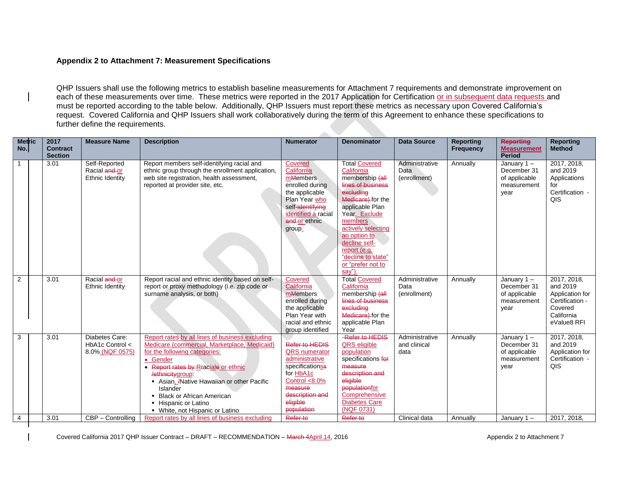## **Appendix 2 to Attachment 7: Measurement Specifications**

QHP Issuers shall use the following metrics to establish baseline measurements for Attachment 7 requirements and demonstrate improvement on each of these measurements over time. These metrics were reported in the 2017 Application for Certification or in subsequent data requests and must be reported according to the table below. Additionally, QHP Issuers must report these metrics as necessary upon Covered California's request. Covered California and QHP Issuers shall work collaboratively during the term of this Agreement to enhance these specifications to further define the requirements.

**START** 

| <b>Metric</b><br>No. | 2017<br><b>Contract</b><br><b>Section</b> | <b>Measure Name</b>                                  | <b>Description</b>                                                                                                                                                                                                                                                                                                                                                | <b>Numerator</b>                                                                                                                                                             | <b>Denominator</b>                                                                                                                                                                                                                                                                        | <b>Data Source</b>                     | <b>Reporting</b><br><b>Frequency</b> | <b>Reporting</b><br><b>Measurement</b><br><b>Period</b>              | <b>Reporting</b><br><b>Method</b>                                                                     |
|----------------------|-------------------------------------------|------------------------------------------------------|-------------------------------------------------------------------------------------------------------------------------------------------------------------------------------------------------------------------------------------------------------------------------------------------------------------------------------------------------------------------|------------------------------------------------------------------------------------------------------------------------------------------------------------------------------|-------------------------------------------------------------------------------------------------------------------------------------------------------------------------------------------------------------------------------------------------------------------------------------------|----------------------------------------|--------------------------------------|----------------------------------------------------------------------|-------------------------------------------------------------------------------------------------------|
|                      | 3.01                                      | Self-Reported<br>Racial and or<br>Ethnic Identity    | Report members self-identifying racial and<br>ethnic group through the enrollment application,<br>web site registration, health assessment,<br>reported at provider site, etc.                                                                                                                                                                                    | Covered<br>California<br>mMembers<br>enrolled during<br>the applicable<br>Plan Year who<br>self-identifying<br>identified a racial<br>and or ethnic<br>group.                | <b>Total Covered</b><br>California<br>membership (all<br>lines of business<br>excluding<br>Medicare) for the<br>applicable Plan<br>Year. Exclude<br>members<br>actively selecting<br>an option to<br>decline self-<br>report (e.g.<br>"decline to state"<br>or "prefer not to<br>$sav$ ") | Administrative<br>Data<br>(enrollment) | Annually                             | January $1 -$<br>December 31<br>of applicable<br>measurement<br>year | 2017, 2018,<br>and 2019<br>Applications<br>for<br>Certification -<br>QIS                              |
| 2                    | 3.01                                      | Racial and or<br>Ethnic Identity                     | Report racial and ethnic identity based on self-<br>report or proxy methodology (i.e. zip code or<br>surname analysis, or both)                                                                                                                                                                                                                                   | Covered<br>California<br>mMembers<br>enrolled during<br>the applicable<br>Plan Year with<br>racial and ethnic<br>group identified                                            | <b>Total Covered</b><br>California<br>membership (all<br>lines of business<br>excluding<br>Medicare) for the<br>applicable Plan<br>Year                                                                                                                                                   | Administrative<br>Data<br>(enrollment) | Annually                             | January $1 -$<br>December 31<br>of applicable<br>measurement<br>year | 2017, 2018,<br>and 2019<br>Application for<br>Certification -<br>Covered<br>California<br>eValue8 RFI |
| 3                    | 3.01                                      | Diabetes Care:<br>HbA1c Control <<br>8.0% (NQF 0575) | Report rates by all lines of business excluding<br>Medicare (commercial, Marketplace, Medicaid)<br>for the following categories:<br>• Gender<br>• Report rates by Rraciale or ethnic<br>/ethnicitygroup:<br>Asian, Alative Hawaiian or other Pacific<br><b>Islander</b><br>• Black or African American<br>• Hispanic or Latino<br>• White, not Hispanic or Latino | Refer to <b>HEDIS</b><br><b>QRS</b> numerator<br>administrative<br>specificationss<br>for HbA1c<br>Control $< 8.0\%$<br>measure<br>description and<br>eligible<br>population | -Refer to HEDIS<br>QRS eligible<br>population<br>specifications for<br>measure<br>description and<br>eligible<br>populationfor<br>Comprehensive<br><b>Diabetes Care</b><br>(NQF 0731)                                                                                                     | Administrative<br>and clinical<br>data | Annually                             | January $1 -$<br>December 31<br>of applicable<br>measurement<br>year | 2017, 2018,<br>and 2019<br>Application for<br>Certification -<br>QIS                                  |
| 4                    | 3.01                                      | CBP - Controlling                                    | Report rates by all lines of business excluding                                                                                                                                                                                                                                                                                                                   | Refer to                                                                                                                                                                     | Refer to                                                                                                                                                                                                                                                                                  | Clinical data                          | Annually                             | January $1 -$                                                        | 2017, 2018,                                                                                           |

Covered California 2017 QHP Issuer Contract – DRAFT – RECOMMENDATION – March 4April 14, 2016 Appendix 2 to Attachment 7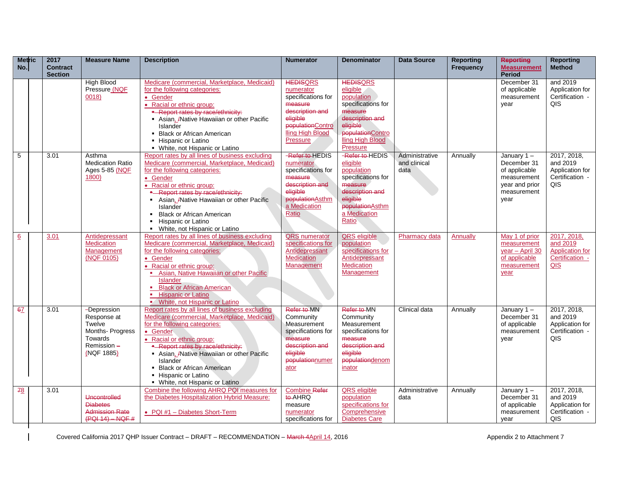| <b>Metric</b><br>No. | 2017<br><b>Contract</b><br><b>Section</b> | <b>Measure Name</b>                                                                            | <b>Description</b>                                                                                                                                                                                                                                                                                                                                                                     | <b>Numerator</b>                                                                                                                                 | <b>Denominator</b>                                                                                                                                            | <b>Data Source</b>                     | <b>Reporting</b><br>Frequency | <b>Reporting</b><br><b>Measurement</b><br><b>Period</b>                                               | <b>Reporting</b><br><b>Method</b>                                           |
|----------------------|-------------------------------------------|------------------------------------------------------------------------------------------------|----------------------------------------------------------------------------------------------------------------------------------------------------------------------------------------------------------------------------------------------------------------------------------------------------------------------------------------------------------------------------------------|--------------------------------------------------------------------------------------------------------------------------------------------------|---------------------------------------------------------------------------------------------------------------------------------------------------------------|----------------------------------------|-------------------------------|-------------------------------------------------------------------------------------------------------|-----------------------------------------------------------------------------|
|                      |                                           | <b>High Blood</b><br>Pressure (NQF<br>0018                                                     | Medicare (commercial, Marketplace, Medicaid)<br>for the following categories:<br>• Gender<br>• Racial or ethnic group:<br>- Report rates by race/ethnicity:<br>Asian, Anative Hawaiian or other Pacific<br>Islander<br>• Black or African American<br>- Hispanic or Latino<br>• White, not Hispanic or Latino                                                                          | <b>HEDISQRS</b><br>numerator<br>specifications for<br>measure<br>description and<br>eligible<br>populationContro<br>Iling High Blood<br>Pressure | <b>HEDISQRS</b><br>eligible<br>population<br>specifications for<br>measure<br>description and<br>eligible<br>populationContro<br>lling High Blood<br>Pressure |                                        |                               | December 31<br>of applicable<br>measurement<br>year                                                   | and 2019<br>Application for<br>Certification -<br>QIS                       |
| 5                    | 3.01                                      | Asthma<br><b>Medication Ratio</b><br>Ages 5-85 (NQF<br>1800)                                   | Report rates by all lines of business excluding<br>Medicare (commercial, Marketplace, Medicaid)<br>for the following categories:<br>• Gender<br>• Racial or ethnic group:<br>- Report rates by race/ethnicity:<br>Asian, A Native Hawaiian or other Pacific<br>Islander<br><b>Black or African American</b><br>$\blacksquare$<br>Hispanic or Latino<br>• White, not Hispanic or Latino | -Refer to HEDIS<br>numerator<br>specifications for<br>measure<br>description and<br>eligible<br>populationAsthm<br>a Medication<br>Ratio         | -Refer to HEDIS<br>eligible<br>population<br>specifications for<br>measure<br>description and<br>eligible<br>populationAsthm<br>a Medication<br>Ratio         | Administrative<br>and clinical<br>data | Annually                      | January $1 -$<br>December 31<br>of applicable<br>measurement<br>year and prior<br>measurement<br>vear | 2017, 2018,<br>and 2019<br>Application for<br>Certification -<br>QIS        |
| 6                    | 3.01                                      | Antidepressant<br><b>Medication</b><br>Management<br>(NQF 0105)                                | Report rates by all lines of business excluding<br>Medicare (commercial, Marketplace, Medicaid)<br>for the following categories:<br>• Gender<br>• Racial or ethnic group:<br>Asian, Native Hawaiian or other Pacific<br><b>Islander</b><br><b>Black or African American</b><br><b>Hispanic or Latino</b><br>×.<br>White, not Hispanic or Latino                                        | <b>QRS</b> numerator<br>specifications for<br>Antidepressant<br><b>Medication</b><br>Management                                                  | <b>QRS</b> eligible<br>population<br>specifications for<br>Antidepressant<br><b>Medication</b><br>Management                                                  | Pharmacy data                          | <b>Annually</b>               | May 1 of prior<br>measurement<br>year - April 30<br>of applicable<br>measurement<br>year              | 2017, 2018,<br>and 2019<br><b>Application for</b><br>Certification -<br>QIS |
| 67                   | 3.01                                      | -Depression<br>Response at<br>Twelve<br>Months-Progress<br>Towards<br>Remission-<br>(NQF 1885) | Report rates by all lines of business excluding<br>Medicare (commercial, Marketplace, Medicaid)<br>for the following categories:<br>· Gender<br>• Racial or ethnic group:<br>- Report rates by race/ethnicity:<br>Asian, Alative Hawaiian or other Pacific<br>Islander<br>• Black or African American<br>- Hispanic or Latino<br>• White, not Hispanic or Latino                       | Refer to MN<br>Community<br>Measurement<br>specifications for<br>measure<br>description and<br>eligible<br>populationnumer<br>ator               | Refer to MN<br>Community<br>Measurement<br>specifications for<br>measure<br>description and<br>eligible<br>populationdenom<br>inator                          | Clinical data                          | Annually                      | January $1 -$<br>December 31<br>of applicable<br>measurement<br>vear                                  | 2017, 2018,<br>and 2019<br>Application for<br>Certification -<br>QIS        |
| 78                   | 3.01                                      | Uncontrolled<br><b>Diabetes</b><br><b>Admission Rate</b><br>$(PQI 14) - NQF #$                 | Combine the following AHRQ PQI measures for<br>the Diabetes Hospitalization Hybrid Measure:<br>• PQI #1 - Diabetes Short-Term                                                                                                                                                                                                                                                          | <b>Combine Refer</b><br>to-AHRQ<br>measure<br>numerator<br>specifications for                                                                    | <b>QRS</b> eligible<br>population<br>specifications for<br>Comprehensive<br><b>Diabetes Care</b>                                                              | Administrative<br>data                 | Annually                      | January $1 -$<br>December 31<br>of applicable<br>measurement<br>year                                  | 2017, 2018,<br>and 2019<br>Application for<br>Certification -<br>QIS        |

Covered California 2017 QHP Issuer Contract – DRAFT – RECOMMENDATION – March 4April 14, 2016 Appendix 2 to Attachment 7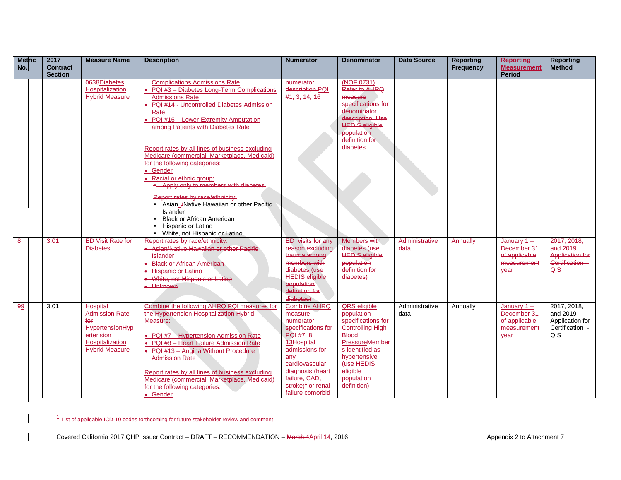| <b>Metric</b><br>No. | 2017<br><b>Contract</b><br><b>Section</b> | <b>Measure Name</b>                                                                                                         | <b>Description</b>                                                                                                                                                                                                                                                                                                                                                                                       | <b>Numerator</b>                                                                                                                                                                                                                   | <b>Denominator</b>                                                                                                                                                                                             | <b>Data Source</b>     | <b>Reporting</b><br><b>Frequency</b> | <b>Reporting</b><br><b>Measurement</b><br><b>Period</b>              | <b>Reporting</b><br><b>Method</b>                                            |
|----------------------|-------------------------------------------|-----------------------------------------------------------------------------------------------------------------------------|----------------------------------------------------------------------------------------------------------------------------------------------------------------------------------------------------------------------------------------------------------------------------------------------------------------------------------------------------------------------------------------------------------|------------------------------------------------------------------------------------------------------------------------------------------------------------------------------------------------------------------------------------|----------------------------------------------------------------------------------------------------------------------------------------------------------------------------------------------------------------|------------------------|--------------------------------------|----------------------------------------------------------------------|------------------------------------------------------------------------------|
|                      |                                           | 0638Diabetes<br>Hospitalization<br><b>Hybrid Measure</b>                                                                    | <b>Complications Admissions Rate</b><br>• PQI #3 - Diabetes Long-Term Complications<br><b>Admissions Rate</b><br>• PQI #14 - Uncontrolled Diabetes Admission<br>Rate<br>• PQI #16 - Lower-Extremity Amputation<br>among Patients with Diabetes Rate<br>Report rates by all lines of business excluding                                                                                                   | numerator<br>description.PQI<br>#1, 3, 14, 16                                                                                                                                                                                      | (NQF 0731)<br>Refer to AHRQ<br>measure<br>specifications for<br>denominator<br>description. Use<br><b>HEDIS eligible</b><br>population<br>definition for<br>diabetes.                                          |                        |                                      |                                                                      |                                                                              |
|                      |                                           |                                                                                                                             | Medicare (commercial, Marketplace, Medicaid)<br>for the following categories:<br>• Gender<br>• Racial or ethnic group:<br>- Apply only to members with diabetes.<br>Report rates by race/ethnicity:<br>Asian, ANative Hawaiian or other Pacific<br><b>Islander</b><br><b>Black or African American</b><br>Hispanic or Latino<br>• White, not Hispanic or Latino                                          |                                                                                                                                                                                                                                    |                                                                                                                                                                                                                |                        |                                      |                                                                      |                                                                              |
| 8                    | 3.01                                      | <b>ED Visit Rate for</b><br><b>Diabetes</b>                                                                                 | Report rates by race/ethnicity:<br>• Asian/Native Hawaiian or other Pacific<br><b>Islander</b><br>• Black or African American<br><b>.</b> Hispanic or Latino<br>• White, not Hispanic or Latino<br>• Unknown                                                                                                                                                                                             | <b>ED</b> visits for any<br>reason excluding<br>trauma among<br>members with<br>diabetes (use<br><b>HEDIS eligible</b><br>population<br>definition for<br>diabetes)                                                                | <b>Members with</b><br>diabetes (use<br><b>HEDIS eligible</b><br>population<br>definition for<br>diabetes)                                                                                                     | Administrative<br>data | Annually                             | January 1-<br>December 31<br>of applicable<br>measurement<br>vear    | 2017, 2018,<br>and 2019<br><b>Application for</b><br>Certification -<br>QIS. |
| 99                   | 3.01                                      | <b>Hospital</b><br>Admission Rate<br>for<br>HypertensionHyp<br>ertension<br><b>Hospitalization</b><br><b>Hybrid Measure</b> | Combine the following AHRQ PQI measures for<br>the Hypertension Hospitalization Hybrid<br>Measure:<br>• PQI #7 - Hypertension Admission Rate<br>· PQI #8 - Heart Failure Admission Rate<br>• PQI #13 - Angina Without Procedure<br><b>Admission Rate</b><br>Report rates by all lines of business excluding<br>Medicare (commercial, Marketplace, Medicaid)<br>for the following categories:<br>• Gender | <b>Combine AHRQ</b><br>measure<br>numerator<br>specifications for<br>PQI #7, 8,<br>13Hospital<br>admissions for<br>anv<br>cardiovascular<br>diagnosis (heart<br>failure, CAD,<br>stroke) <sup>4</sup> or renal<br>failure comorbid | <b>QRS</b> eligible<br>population<br>specifications for<br><b>Controlling High</b><br><b>Blood</b><br>PressureMember<br>s identified as<br>hypertensive<br>(use HEDIS<br>eligible<br>population<br>definition) | Administrative<br>data | Annually                             | January $1 -$<br>December 31<br>of applicable<br>measurement<br>year | 2017, 2018,<br>and 2019<br>Application for<br>Certification -<br><b>QIS</b>  |

<sup>&</sup>lt;sup>1</sup>-List of applicable ICD-10 codes forthcoming for future stakeholder review and comment

 $\overline{a}$ 

Covered California 2017 QHP Issuer Contract – DRAFT – RECOMMENDATION – March 4April 14, 2016 Appendix 2 to Attachment 7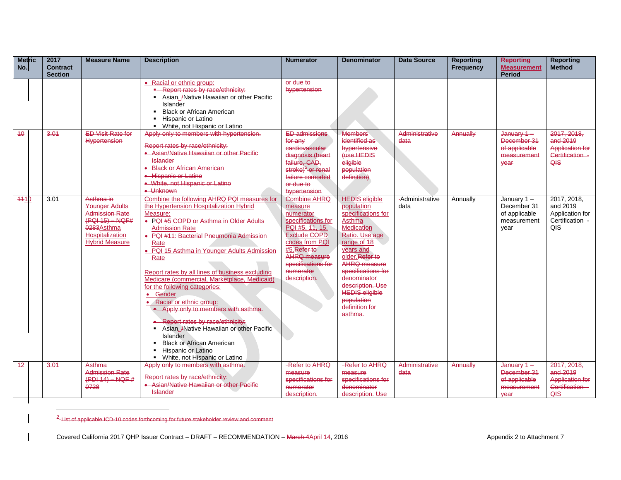| <b>Metric</b><br>No. | 2017<br><b>Contract</b><br><b>Section</b> | <b>Measure Name</b>                                                                                                                        | <b>Description</b>                                                                                                                                                                                                                                                                                                                                                                                                                                                                                                                                                                                                                                                                           | <b>Numerator</b>                                                                                                                                                                                         | <b>Denominator</b>                                                                                                                                                                                                                                                                                            | <b>Data Source</b>      | <b>Reporting</b><br><b>Frequency</b> | <b>Reporting</b><br><b>Measurement</b><br><b>Period</b>              | <b>Reporting</b><br><b>Method</b>                                           |
|----------------------|-------------------------------------------|--------------------------------------------------------------------------------------------------------------------------------------------|----------------------------------------------------------------------------------------------------------------------------------------------------------------------------------------------------------------------------------------------------------------------------------------------------------------------------------------------------------------------------------------------------------------------------------------------------------------------------------------------------------------------------------------------------------------------------------------------------------------------------------------------------------------------------------------------|----------------------------------------------------------------------------------------------------------------------------------------------------------------------------------------------------------|---------------------------------------------------------------------------------------------------------------------------------------------------------------------------------------------------------------------------------------------------------------------------------------------------------------|-------------------------|--------------------------------------|----------------------------------------------------------------------|-----------------------------------------------------------------------------|
|                      |                                           |                                                                                                                                            | • Racial or ethnic group:<br>- Report rates by race/ethnicity:<br>Asian, /Native Hawaiian or other Pacific<br>Islander<br><b>Black or African American</b><br>Hispanic or Latino<br>• White, not Hispanic or Latino                                                                                                                                                                                                                                                                                                                                                                                                                                                                          | or due to<br>hypertension                                                                                                                                                                                |                                                                                                                                                                                                                                                                                                               |                         |                                      |                                                                      |                                                                             |
| 40                   | 3.01                                      | <b>ED Visit Rate for</b><br><b>Hypertension</b>                                                                                            | Apply only to members with hypertension.<br>Report rates by race/ethnicity:<br>• Asian/Native Hawaiian or other Pacific<br>Islander<br>• Black or African American<br>• Hispanic or Latino<br>• White, not Hispanic or Latino<br>• Unknown                                                                                                                                                                                                                                                                                                                                                                                                                                                   | <b>ED admissions</b><br>for any<br>cardiovascular<br>diagnosis (heart<br>failure, CAD,<br>stroke) $2$ or renal<br>failure comorbid<br>or due to<br>hypertension                                          | <b>Members</b><br>identified as<br>hypertensive<br>(use HEDIS<br>eligible<br>population<br>definition)                                                                                                                                                                                                        | Administrative<br>data  | Annually                             | $January 1 -$<br>December 31<br>of applicable<br>measurement<br>vear | 2017, 2018,<br>and 2019<br><b>Application for</b><br>Certification -<br>QIS |
| 4410                 | 3.01                                      | Asthma in<br><b>Younger Adults</b><br><b>Admission Rate</b><br>$(PQI 15) - NQF#$<br>0283Asthma<br>Hospitalization<br><b>Hybrid Measure</b> | Combine the following AHRQ PQI measures for<br>the Hypertension Hospitalization Hybrid<br>Measure:<br>. PQI #5 COPD or Asthma in Older Adults<br><b>Admission Rate</b><br>· PQI #11: Bacterial Pneumonia Admission<br>Rate<br>• PQI 15 Asthma in Younger Adults Admission<br>Rate<br>Report rates by all lines of business excluding<br>Medicare (commercial, Marketplace, Medicaid)<br>for the following categories:<br>• Gender<br>Racial or ethnic group:<br>- Apply only to members with asthma.<br>• Report rates by race/ethnicity:<br>Asian, ANative Hawaiian or other Pacific<br>Islander<br><b>Black or African American</b><br>Hispanic or Latino<br>White, not Hispanic or Latino | <b>Combine AHRQ</b><br>measure<br>numerator<br>specifications for<br>PQI #5, 11, 15.<br>Exclude COPD<br>codes from PQI<br>#5.Refer to<br>AHRQ measure<br>specifications for<br>numerator<br>description. | <b>HEDIS</b> eligible<br>population<br>specifications for<br>Asthma<br><b>Medication</b><br>Ratio. Use age<br>range of 18<br>years and<br>older. Refer to<br><b>AHRQ</b> measure<br>specifications for<br>denominator<br>description. Use<br><b>HEDIS eligible</b><br>population<br>definition for<br>asthma. | -Administrative<br>data | Annually                             | January 1-<br>December 31<br>of applicable<br>measurement<br>year    | 2017, 2018,<br>and 2019<br>Application for<br>Certification -<br>QIS        |
| 42                   | 3.01                                      | Asthma<br><b>Admission Rate</b><br>$(PDI 14) - NQF #$<br>0728                                                                              | Apply only to members with asthma.<br>Report rates by race/ethnicity:<br>• Asian/Native Hawaiian or other Pacific<br><b>Islander</b>                                                                                                                                                                                                                                                                                                                                                                                                                                                                                                                                                         | -Refer to AHRQ<br>measure<br>specifications for<br>numerator<br>description.                                                                                                                             | -Refer to AHRQ<br>measure<br>specifications for<br>denominator<br>description. Use                                                                                                                                                                                                                            | Administrative<br>data  | Annually                             | January 1-<br>December 31<br>of applicable<br>measurement<br>vear    | 2017, 2018.<br>and 2019<br><b>Application for</b><br>Certification -<br>QIS |

<sup>2</sup>-List of applicable ICD-10 codes forthcoming for future stakeholder review and comment

 $\overline{a}$ 

 $\overline{\phantom{a}}$ 

Covered California 2017 QHP Issuer Contract – DRAFT – RECOMMENDATION – March 4April 14, 2016 Appendix 2 to Attachment 7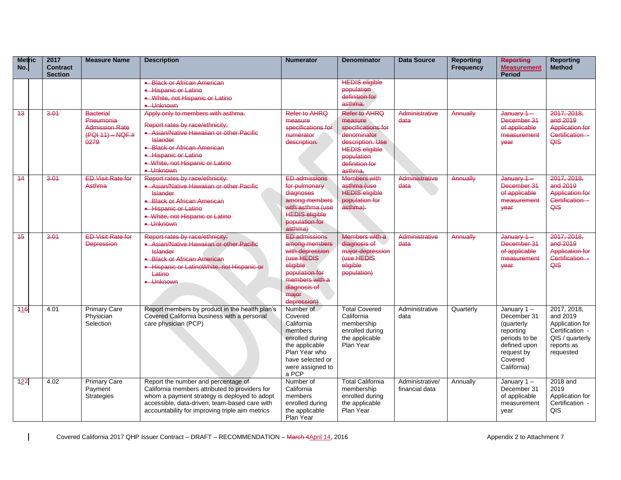| <b>Metric</b><br>No. | 2017<br><b>Contract</b> | <b>Measure Name</b>                                              | <b>Description</b>                                                                                                                                                                                                                        | <b>Numerator</b>                                                                                                                                               | <b>Denominator</b>                                                                                                                   | <b>Data Source</b>                | <b>Reporting</b><br><b>Frequency</b> | <b>Reporting</b><br><b>Measurement</b>                                                                                           | <b>Reporting</b><br>Method                                                                                  |
|----------------------|-------------------------|------------------------------------------------------------------|-------------------------------------------------------------------------------------------------------------------------------------------------------------------------------------------------------------------------------------------|----------------------------------------------------------------------------------------------------------------------------------------------------------------|--------------------------------------------------------------------------------------------------------------------------------------|-----------------------------------|--------------------------------------|----------------------------------------------------------------------------------------------------------------------------------|-------------------------------------------------------------------------------------------------------------|
|                      | <b>Section</b>          |                                                                  |                                                                                                                                                                                                                                           |                                                                                                                                                                |                                                                                                                                      |                                   |                                      | <b>Period</b>                                                                                                                    |                                                                                                             |
| 43                   | 3.01                    | <b>Bacterial</b>                                                 | • Black or African American<br><b>+ Hispanic or Latino</b><br>• White, not Hispanic or Latino<br>• Unknown<br>Apply only to members with asthma.                                                                                          | Refer to AHRQ                                                                                                                                                  | <b>HEDIS eligible</b><br>population<br>definition for<br>asthma.<br>Refer to AHRO                                                    | Administrative                    | Annually                             | January 1-                                                                                                                       | 2017, 2018,                                                                                                 |
|                      |                         | Pneumonia<br><b>Admission Rate</b><br>$(PQI 11) - NQF #$<br>0279 | Report rates by race/ethnicity:<br>• Asian/Native Hawaiian or other Pacific<br><b>Islander</b><br>• Black or African American<br>· Hispanic or Latino<br>• White, not Hispanic or Latino<br>• Unknown                                     | measure<br>specifications for<br>numerator<br>description.                                                                                                     | measure<br>specifications for<br>denominator<br>description. Use<br><b>HEDIS eligible</b><br>population<br>definition for<br>asthma. | data                              |                                      | December 31<br>of applicable<br>measurement<br>vear                                                                              | and 2019<br><b>Application for</b><br>Certification -<br>QIS                                                |
| 14                   | 3.01                    | <b>ED Visit Rate for</b><br>Asthma                               | Report rates by race/ethnicity:<br>• Asian/Native Hawaiian or other Pacific<br><b>Islander</b><br>• Black or African American<br>• Hispanic or Latino<br>• White, not Hispanic or Latino<br>• Unknown                                     | <b>ED admissions</b><br>for pulmonary<br>diagnoses<br>among members<br>with asthma (use<br><b>HEDIS eligible</b><br>population for<br>asthma)                  | <b>Members with</b><br>asthma (use<br><b>HEDIS eligible</b><br>population for<br>asthma).                                            | Administrative<br>data            | Annually                             | $January 1 -$<br>December 31<br>of applicable<br>measurement<br>vear                                                             | 2017, 2018.<br>and 2019<br><b>Application for</b><br>Certification -<br>QIS                                 |
| 45                   | 3.01                    | <b>ED Visit Rate for</b><br><b>Depression</b>                    | Report rates by race/ethnicity:<br>• Asian/Native Hawaiian or other Pacific<br><b>Islander</b><br>• Black or African American<br>· Hispanic or LatinoWhite, not Hispanic or<br>Latino<br>• Unknown                                        | <b>ED admissions</b><br>among members<br>with depression<br>(use HEDIS<br>eligible<br>population for<br>members with a<br>diagnosis of<br>major<br>depression) | Members with a<br>diagnosis of<br>major depression<br>(use HEDIS<br>eligible<br>population)                                          | Administrative<br>data            | Annually                             | January 1-<br>December 31<br>of applicable<br>measurement<br>vear                                                                | 2017, 2018,<br>and 2019<br><b>Application for</b><br>Certification -<br>QIS                                 |
| 116                  | 4.01                    | <b>Primary Care</b><br>Physician<br>Selection                    | Report members by product in the health plan's<br>Covered California business with a personal<br>care physician (PCP)                                                                                                                     | Number of<br>Covered<br>California<br>members<br>enrolled during<br>the applicable<br>Plan Year who<br>have selected or<br>were assigned to<br>a PCP           | <b>Total Covered</b><br>California<br>membership<br>enrolled during<br>the applicable<br>Plan Year                                   | Administrative<br>data            | Quarterly                            | January $1 -$<br>December 31<br>(quarterly<br>reporting<br>periods to be<br>defined upon<br>request by<br>Covered<br>California) | 2017, 2018,<br>and 2019<br>Application for<br>Certification -<br>QIS / quarterly<br>reports as<br>requested |
| 127                  | 4.02                    | <b>Primary Care</b><br>Payment<br><b>Strategies</b>              | Report the number and percentage of<br>California members attributed to providers for<br>whom a payment strategy is deployed to adopt<br>accessible, data-driven, team-based care with<br>accountability for improving triple aim metrics | Number of<br>California<br>members<br>enrolled during<br>the applicable<br>Plan Year                                                                           | <b>Total California</b><br>membership<br>enrolled during<br>the applicable<br>Plan Year                                              | Administrative/<br>financial data | Annually                             | January $1 -$<br>December 31<br>of applicable<br>measurement<br>year                                                             | 2018 and<br>2019<br>Application for<br>Certification -<br><b>QIS</b>                                        |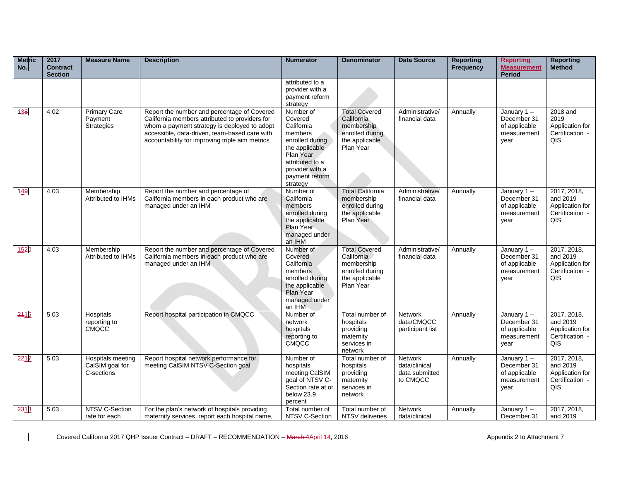| <b>Metric</b><br>No. | 2017<br><b>Contract</b><br><b>Section</b> | <b>Measure Name</b>                                | <b>Description</b>                                                                                                                                                                                                                                | <b>Numerator</b>                                                                                                                                                    | <b>Denominator</b>                                                                                 | <b>Data Source</b>                                            | <b>Reporting</b><br><b>Frequency</b> | <b>Reporting</b><br><b>Measurement</b><br>Period                     | <b>Reporting</b><br>Method                                           |
|----------------------|-------------------------------------------|----------------------------------------------------|---------------------------------------------------------------------------------------------------------------------------------------------------------------------------------------------------------------------------------------------------|---------------------------------------------------------------------------------------------------------------------------------------------------------------------|----------------------------------------------------------------------------------------------------|---------------------------------------------------------------|--------------------------------------|----------------------------------------------------------------------|----------------------------------------------------------------------|
|                      |                                           |                                                    |                                                                                                                                                                                                                                                   | attributed to a<br>provider with a<br>payment reform<br>strategy                                                                                                    |                                                                                                    |                                                               |                                      |                                                                      |                                                                      |
| 138                  | 4.02                                      | <b>Primary Care</b><br>Payment<br>Strategies       | Report the number and percentage of Covered<br>California members attributed to providers for<br>whom a payment strategy is deployed to adopt<br>accessible, data-driven, team-based care with<br>accountability for improving triple aim metrics | Number of<br>Covered<br>California<br>members<br>enrolled during<br>the applicable<br>Plan Year<br>attributed to a<br>provider with a<br>payment reform<br>strategy | <b>Total Covered</b><br>California<br>membership<br>enrolled during<br>the applicable<br>Plan Year | Administrative/<br>financial data                             | Annually                             | January $1 -$<br>December 31<br>of applicable<br>measurement<br>year | 2018 and<br>2019<br>Application for<br>Certification -<br>QIS        |
| 149                  | 4.03                                      | Membership<br>Attributed to IHMs                   | Report the number and percentage of<br>California members in each product who are<br>managed under an IHM                                                                                                                                         | Number of<br>California<br>members<br>enrolled during<br>the applicable<br>Plan Year<br>managed under<br>an IHM                                                     | <b>Total California</b><br>membership<br>enrolled during<br>the applicable<br>Plan Year            | Administrative/<br>financial data                             | Annually                             | January 1-<br>December 31<br>of applicable<br>measurement<br>year    | 2017, 2018,<br>and 2019<br>Application for<br>Certification -<br>QIS |
| 1520                 | 4.03                                      | Membership<br><b>Attributed to IHMs</b>            | Report the number and percentage of Covered<br>California members in each product who are<br>managed under an IHM                                                                                                                                 | Number of<br>Covered<br>California<br>members<br>enrolled during<br>the applicable<br>Plan Year<br>managed under<br>an IHM                                          | <b>Total Covered</b><br>California<br>membership<br>enrolled during<br>the applicable<br>Plan Year | Administrative/<br>financial data                             | Annually                             | January $1 -$<br>December 31<br>of applicable<br>measurement<br>year | 2017, 2018,<br>and 2019<br>Application for<br>Certification -<br>QIS |
| 2416                 | 5.03                                      | Hospitals<br>reporting to<br><b>CMQCC</b>          | Report hospital participation in CMQCC                                                                                                                                                                                                            | Number of<br>network<br>hospitals<br>reporting to<br>CMQCC                                                                                                          | Total number of<br>hospitals<br>providing<br>maternity<br>services in<br>network                   | <b>Network</b><br>data/CMQCC<br>participant list              | Annually                             | January $1 -$<br>December 31<br>of applicable<br>measurement<br>year | 2017, 2018,<br>and 2019<br>Application for<br>Certification -<br>QIS |
| 2217                 | 5.03                                      | Hospitals meeting<br>CalSIM goal for<br>C-sections | Report hospital network performance for<br>meeting CalSIM NTSV C-Section goal                                                                                                                                                                     | Number of<br>hospitals<br>meeting CalSIM<br>goal of NTSV C-<br>Section rate at or<br>below 23.9<br>percent                                                          | Total number of<br>hospitals<br>providing<br>maternity<br>services in<br>network                   | <b>Network</b><br>data/clinical<br>data submitted<br>to CMQCC | Annually                             | January $1 -$<br>December 31<br>of applicable<br>measurement<br>year | 2017, 2018,<br>and 2019<br>Application for<br>Certification -<br>QIS |
| 2318                 | 5.03                                      | NTSV C-Section<br>rate for each                    | For the plan's network of hospitals providing<br>maternity services, report each hospital name,                                                                                                                                                   | Total number of<br>NTSV C-Section                                                                                                                                   | Total number of<br>NTSV deliveries                                                                 | <b>Network</b><br>data/clinical                               | Annually                             | January $1 -$<br>December 31                                         | 2017, 2018,<br>and 2019                                              |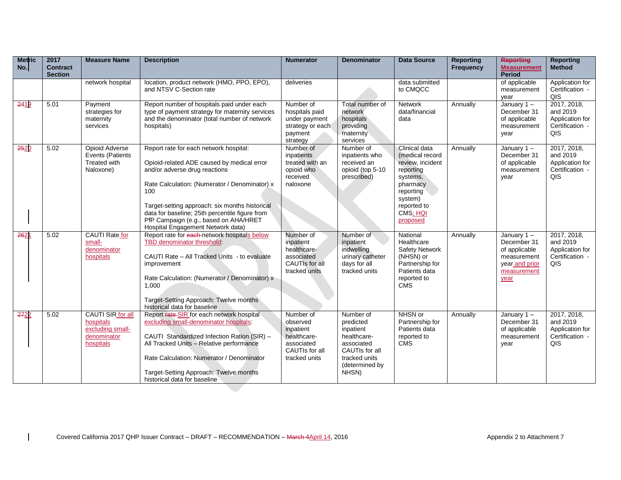| <b>Metric</b><br>No. | 2017<br><b>Contract</b><br><b>Section</b> | <b>Measure Name</b>                                                            | <b>Description</b>                                                                                                                                                                                                                                                                                                                                              | <b>Numerator</b>                                                                                   | <b>Denominator</b>                                                                                                             | <b>Data Source</b>                                                                                                                                       | <b>Reporting</b><br><b>Frequency</b> | <b>Reporting</b><br><b>Measurement</b><br><b>Period</b>                                               | <b>Reporting</b><br><b>Method</b>                                    |
|----------------------|-------------------------------------------|--------------------------------------------------------------------------------|-----------------------------------------------------------------------------------------------------------------------------------------------------------------------------------------------------------------------------------------------------------------------------------------------------------------------------------------------------------------|----------------------------------------------------------------------------------------------------|--------------------------------------------------------------------------------------------------------------------------------|----------------------------------------------------------------------------------------------------------------------------------------------------------|--------------------------------------|-------------------------------------------------------------------------------------------------------|----------------------------------------------------------------------|
|                      |                                           | network hospital                                                               | location, product network (HMO, PPO, EPO),<br>and NTSV C-Section rate                                                                                                                                                                                                                                                                                           | deliveries                                                                                         |                                                                                                                                | data submitted<br>to CMQCC                                                                                                                               |                                      | of applicable<br>measurement<br>vear                                                                  | Application for<br>Certification -<br>QIS                            |
| 2419                 | 5.01                                      | Payment<br>strategies for<br>maternity<br>services                             | Report number of hospitals paid under each<br>type of payment strategy for maternity services<br>and the denominator (total number of network<br>hospitals)                                                                                                                                                                                                     | Number of<br>hospitals paid<br>under payment<br>strategy or each<br>payment<br>strategy            | Total number of<br>network<br>hospitals<br>providing<br>maternity<br>services                                                  | <b>Network</b><br>data/financial<br>data                                                                                                                 | Annually                             | January 1-<br>December 31<br>of applicable<br>measurement<br>vear                                     | 2017, 2018,<br>and 2019<br>Application for<br>Certification -<br>QIS |
| 2520                 | 5.02                                      | Opioid Adverse<br>Events (Patients<br>Treated with<br>Naloxone)                | Report rate for each network hospital:<br>Opioid-related ADE caused by medical error<br>and/or adverse drug reactions<br>Rate Calculation: (Numerator / Denominator) x<br>100<br>Target-setting approach: six months historical<br>data for baseline; 25th percentile figure from<br>PfP Campaign (e.g., based on AHA/HRET<br>Hospital Engagement Network data) | Number of<br>inpatients<br>treated with an<br>opioid who<br>received<br>naloxone                   | Number of<br>inpatients who<br>received an<br>opioid (top 5-10<br>prescribed)                                                  | Clinical data<br>(medical record<br>review, incident<br>reporting<br>systems,<br>pharmacy<br>reporting<br>system)<br>reported to<br>CMS; HQI<br>proposed | Annually                             | January $1 -$<br>December 31<br>of applicable<br>measurement<br>year                                  | 2017, 2018,<br>and 2019<br>Application for<br>Certification -<br>QIS |
| 2621                 | 5.02                                      | CAUTI Rate for<br>small-<br>denominator<br>hospitals                           | Report rate for each network hospitals below<br>TBD denominator threshold<br>CAUTI Rate - All Tracked Units - to evaluate<br>improvement<br>Rate Calculation: (Numerator / Denominator) x<br>1.000<br>Target-Setting Approach: Twelve months<br>historical data for baseline                                                                                    | Number of<br>inpatient<br>healthcare-<br>associated<br>CAUTIs for all<br>tracked units             | Number of<br>inpatient<br>indwelling<br>urinary catheter<br>days for all<br>tracked units                                      | National<br>Healthcare<br>Safety Network<br>(NHSN) or<br>Partnership for<br>Patients data<br>reported to<br><b>CMS</b>                                   | Annually                             | January $1 -$<br>December 31<br>of applicable<br>measurement<br>year and prior<br>measurement<br>year | 2017, 2018,<br>and 2019<br>Application for<br>Certification -<br>QIS |
| 2722                 | 5.02                                      | CAUTI SIR for all<br>hospitals<br>excluding small-<br>denominator<br>hospitals | Report rate SIR for each network hospital<br>excluding small-denominator hospitals:<br>CAUTI Standardized Infection Ration (SIR) -<br>All Tracked Units - Relative performance<br>Rate Calculation: Numerator / Denominator<br>Target-Setting Approach: Twelve months<br>historical data for baseline                                                           | Number of<br>observed<br>inpatient<br>healthcare-<br>associated<br>CAUTIs for all<br>tracked units | Number of<br>predicted<br>inpatient<br>healthcare-<br>associated<br>CAUTIs for all<br>tracked units<br>(determined by<br>NHSN) | NHSN or<br>Partnership for<br>Patients data<br>reported to<br><b>CMS</b>                                                                                 | Annually                             | January 1-<br>December 31<br>of applicable<br>measurement<br>year                                     | 2017, 2018,<br>and 2019<br>Application for<br>Certification -<br>QIS |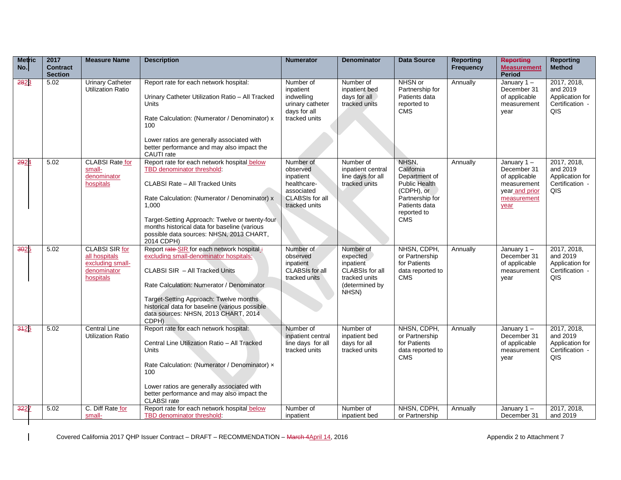| <b>Metric</b><br>No. | 2017<br><b>Contract</b><br><b>Section</b> | <b>Measure Name</b>                                                                    | <b>Description</b>                                                                                                                                                                                                                                                                                                                 | <b>Numerator</b>                                                                                           | <b>Denominator</b>                                                                                       | <b>Data Source</b>                                                                                                                          | <b>Reporting</b><br><b>Frequency</b> | <b>Reporting</b><br><b>Measurement</b><br><b>Period</b>                                            | <b>Reporting</b><br><b>Method</b>                                    |
|----------------------|-------------------------------------------|----------------------------------------------------------------------------------------|------------------------------------------------------------------------------------------------------------------------------------------------------------------------------------------------------------------------------------------------------------------------------------------------------------------------------------|------------------------------------------------------------------------------------------------------------|----------------------------------------------------------------------------------------------------------|---------------------------------------------------------------------------------------------------------------------------------------------|--------------------------------------|----------------------------------------------------------------------------------------------------|----------------------------------------------------------------------|
| 2823                 | 5.02                                      | <b>Urinary Catheter</b><br><b>Utilization Ratio</b>                                    | Report rate for each network hospital:<br>Urinary Catheter Utilization Ratio - All Tracked<br>Units<br>Rate Calculation: (Numerator / Denominator) x<br>100<br>Lower ratios are generally associated with<br>better performance and may also impact the<br>CAUTI rate                                                              | Number of<br>inpatient<br>indwelling<br>urinary catheter<br>days for all<br>tracked units                  | Number of<br>inpatient bed<br>days for all<br>tracked units                                              | NHSN or<br>Partnership for<br>Patients data<br>reported to<br><b>CMS</b>                                                                    | Annually                             | January 1-<br>December 31<br>of applicable<br>measurement<br>year                                  | 2017, 2018,<br>and 2019<br>Application for<br>Certification -<br>QIS |
| 2924                 | 5.02                                      | <b>CLABSI Rate for</b><br>small-<br>denominator<br>hospitals                           | Report rate for each network hospital below<br>TBD denominator threshold:<br>CLABSI Rate - All Tracked Units<br>Rate Calculation: (Numerator / Denominator) x<br>1,000<br>Target-Setting Approach: Twelve or twenty-four<br>months historical data for baseline (various<br>possible data sources: NHSN, 2013 CHART,<br>2014 CDPH) | Number of<br>observed<br>inpatient<br>healthcare-<br>associated<br><b>CLABSIs for all</b><br>tracked units | Number of<br>inpatient central<br>line days for all<br>tracked units                                     | NHSN,<br>California<br>Department of<br><b>Public Health</b><br>(CDPH), or<br>Partnership for<br>Patients data<br>reported to<br><b>CMS</b> | Annually                             | January 1-<br>December 31<br>of applicable<br>measurement<br>year and prior<br>measurement<br>year | 2017, 2018,<br>and 2019<br>Application for<br>Certification -<br>QIS |
| 3025                 | 5.02                                      | <b>CLABSI SIR for</b><br>all hospitals<br>excluding small-<br>denominator<br>hospitals | Report rate SIR for each network hospital:<br>excluding small-denominator hospitals:<br>CLABSI SIR - All Tracked Units<br>Rate Calculation: Numerator / Denominator<br>Target-Setting Approach: Twelve months<br>historical data for baseline (various possible<br>data sources: NHSN, 2013 CHART, 2014<br>CDPH)                   | Number of<br>observed<br>inpatient<br><b>CLABSIs for all</b><br>tracked units                              | Number of<br>expected<br>inpatient<br><b>CLABSIs for all</b><br>tracked units<br>(determined by<br>NHSN) | NHSN, CDPH,<br>or Partnership<br>for Patients<br>data reported to<br><b>CMS</b>                                                             | Annually                             | January 1-<br>December 31<br>of applicable<br>measurement<br>vear                                  | 2017, 2018,<br>and 2019<br>Application for<br>Certification -<br>QIS |
| 3426                 | 5.02                                      | <b>Central Line</b><br><b>Utilization Ratio</b>                                        | Report rate for each network hospital:<br>Central Line Utilization Ratio - All Tracked<br>Units<br>Rate Calculation: (Numerator / Denominator) x<br>100<br>Lower ratios are generally associated with<br>better performance and may also impact the<br>CLABSI rate                                                                 | Number of<br>inpatient central<br>line days for all<br>tracked units                                       | Number of<br>inpatient bed<br>days for all<br>tracked units                                              | NHSN, CDPH,<br>or Partnership<br>for Patients<br>data reported to<br><b>CMS</b>                                                             | Annually                             | January 1-<br>December 31<br>of applicable<br>measurement<br>year                                  | 2017, 2018,<br>and 2019<br>Application for<br>Certification -<br>QIS |
| 3227                 | 5.02                                      | C. Diff Rate for<br>small-                                                             | Report rate for each network hospital below<br>TBD denominator threshold                                                                                                                                                                                                                                                           | Number of<br>inpatient                                                                                     | Number of<br>inpatient bed                                                                               | NHSN, CDPH,<br>or Partnership                                                                                                               | Annually                             | January 1-<br>December 31                                                                          | 2017, 2018,<br>and 2019                                              |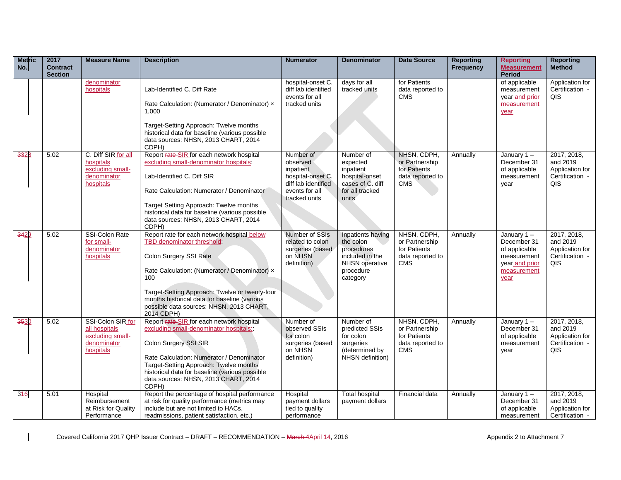| <b>Metric</b><br>No. | 2017<br><b>Contract</b> | <b>Measure Name</b>                                                                | <b>Description</b>                                                                                                                                                                                                                                                                                                      | <b>Numerator</b>                                                                                                  | <b>Denominator</b>                                                                                                | <b>Data Source</b>                                                              | <b>Reporting</b><br>Frequency | <b>Reporting</b><br><b>Measurement</b>                                                             | <b>Reporting</b><br><b>Method</b>                                    |
|----------------------|-------------------------|------------------------------------------------------------------------------------|-------------------------------------------------------------------------------------------------------------------------------------------------------------------------------------------------------------------------------------------------------------------------------------------------------------------------|-------------------------------------------------------------------------------------------------------------------|-------------------------------------------------------------------------------------------------------------------|---------------------------------------------------------------------------------|-------------------------------|----------------------------------------------------------------------------------------------------|----------------------------------------------------------------------|
|                      | <b>Section</b>          |                                                                                    |                                                                                                                                                                                                                                                                                                                         |                                                                                                                   |                                                                                                                   |                                                                                 |                               | Period                                                                                             |                                                                      |
|                      |                         | denominator<br>hospitals                                                           | Lab-Identified C. Diff Rate<br>Rate Calculation: (Numerator / Denominator) x<br>1.000<br>Target-Setting Approach: Twelve months<br>historical data for baseline (various possible<br>data sources: NHSN, 2013 CHART, 2014<br>CDPH)                                                                                      | hospital-onset C.<br>diff lab identified<br>events for all<br>tracked units                                       | days for all<br>tracked units                                                                                     | for Patients<br>data reported to<br><b>CMS</b>                                  |                               | of applicable<br>measurement<br>year and prior<br>measurement<br>year                              | Application for<br>Certification -<br>QIS                            |
| 3328                 | 5.02                    | C. Diff SIR for all<br>hospitals<br>excluding small-<br>denominator<br>hospitals   | Report rate-SIR for each network hospital<br>excluding small-denominator hospitals:<br>Lab-Identified C. Diff SIR<br>Rate Calculation: Numerator / Denominator<br>Target Setting Approach: Twelve months<br>historical data for baseline (various possible<br>data sources: NHSN, 2013 CHART, 2014<br>CDPH)             | Number of<br>observed<br>inpatient<br>hospital-onset C.<br>diff lab identified<br>events for all<br>tracked units | Number of<br>expected<br>inpatient<br>hospital-onset<br>cases of C. diff<br>for all tracked<br>units              | NHSN, CDPH,<br>or Partnership<br>for Patients<br>data reported to<br><b>CMS</b> | Annually                      | January 1-<br>December 31<br>of applicable<br>measurement<br>year                                  | 2017, 2018,<br>and 2019<br>Application for<br>Certification -<br>QIS |
| 3429                 | 5.02                    | SSI-Colon Rate<br>for small-<br>denominator<br>hospitals                           | Report rate for each network hospital below<br>TBD denominator threshold:<br>Colon Surgery SSI Rate<br>Rate Calculation: (Numerator / Denominator) x<br>100<br>Target-Setting Approach: Twelve or twenty-four<br>months historical data for baseline (various<br>possible data sources: NHSN, 2013 CHART,<br>2014 CDPH) | Number of SSIs<br>related to colon<br>surgeries (based<br>on NHSN<br>definition)                                  | Inpatients having<br>the colon<br>procedures<br>included in the<br><b>NHSN</b> operative<br>procedure<br>category | NHSN, CDPH,<br>or Partnership<br>for Patients<br>data reported to<br><b>CMS</b> | Annually                      | January 1-<br>December 31<br>of applicable<br>measurement<br>year and prior<br>measurement<br>year | 2017, 2018,<br>and 2019<br>Application for<br>Certification -<br>QIS |
| 3530                 | 5.02                    | SSI-Colon SIR for<br>all hospitals<br>excluding small-<br>denominator<br>hospitals | Report rate-SIR for each network hospital<br>excluding small-denominator hospitals:<br>Colon Surgery SSI SIR<br>Rate Calculation: Numerator / Denominator<br>Target-Setting Approach: Twelve months<br>historical data for baseline (various possible<br>data sources: NHSN, 2013 CHART, 2014<br>CDPH)                  | Number of<br>observed SSIs<br>for colon<br>surgeries (based<br>on NHSN<br>definition)                             | Number of<br>predicted SSIs<br>for colon<br>surgeries<br>(determined by<br>NHSN definition)                       | NHSN, CDPH,<br>or Partnership<br>for Patients<br>data reported to<br><b>CMS</b> | Annually                      | January $1 -$<br>December 31<br>of applicable<br>measurement<br>year                               | 2017, 2018,<br>and 2019<br>Application for<br>Certification -<br>QIS |
| 316                  | 5.01                    | Hospital<br>Reimbursement<br>at Risk for Quality<br>Performance                    | Report the percentage of hospital performance<br>at risk for quality performance (metrics may<br>include but are not limited to HACs,<br>readmissions, patient satisfaction, etc.)                                                                                                                                      | Hospital<br>payment dollars<br>tied to quality<br>performance                                                     | <b>Total hospital</b><br>payment dollars                                                                          | Financial data                                                                  | Annually                      | January 1-<br>December 31<br>of applicable<br>measurement                                          | 2017, 2018,<br>and 2019<br>Application for<br>Certification -        |